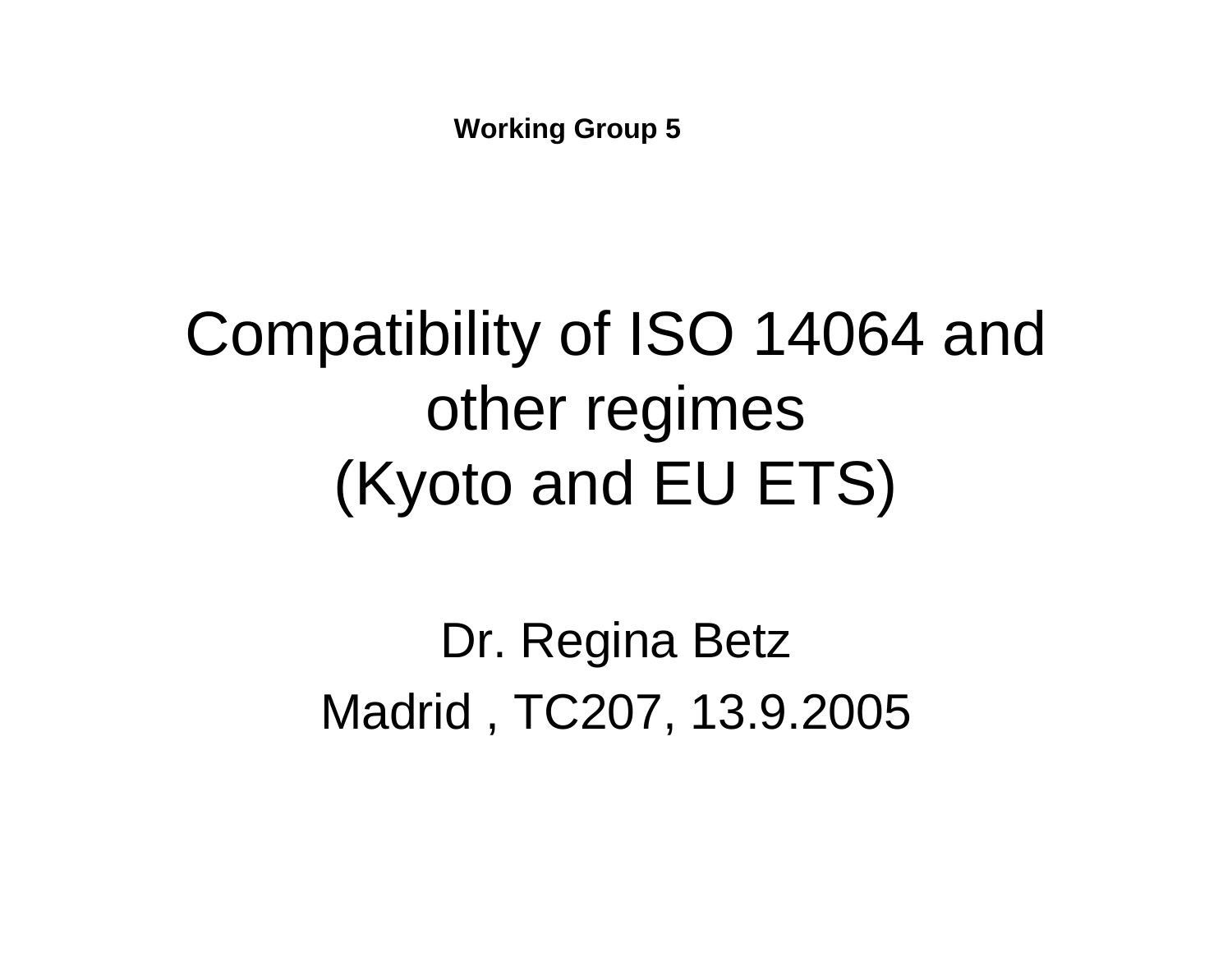**Working Group 5**

### Compatibility of ISO 14064 and other regimes (Kyoto and EU ETS)

Dr. Regina Betz Madrid , TC207, 13.9.2005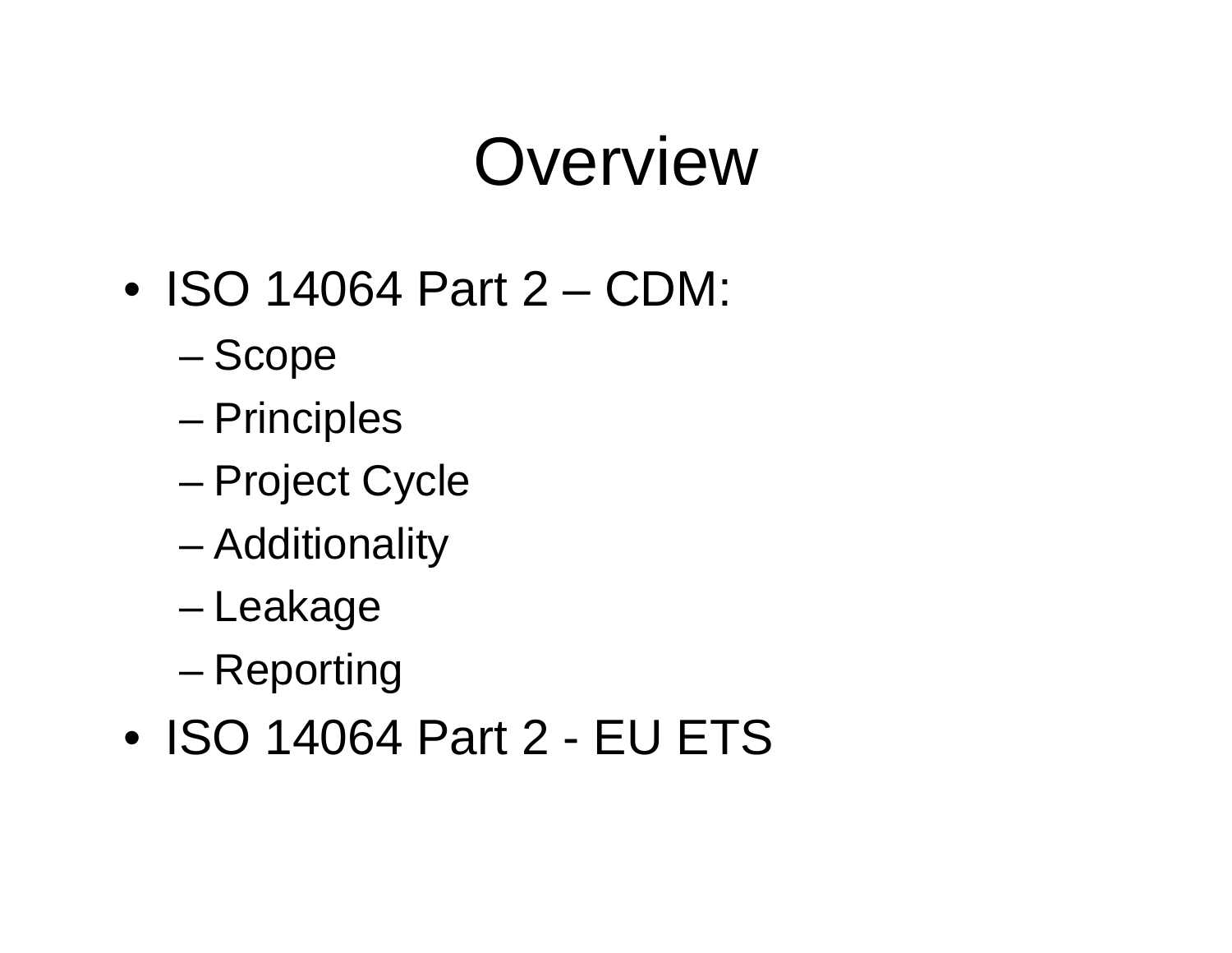### **Overview**

- ISO 14064 Part 2 CDM:
	- Scope
	- **Principles**
	- –Project Cycle
	- –Additionality
	- –Leakage
	- –Reporting
- ISO 14064 Part 2 EU ETS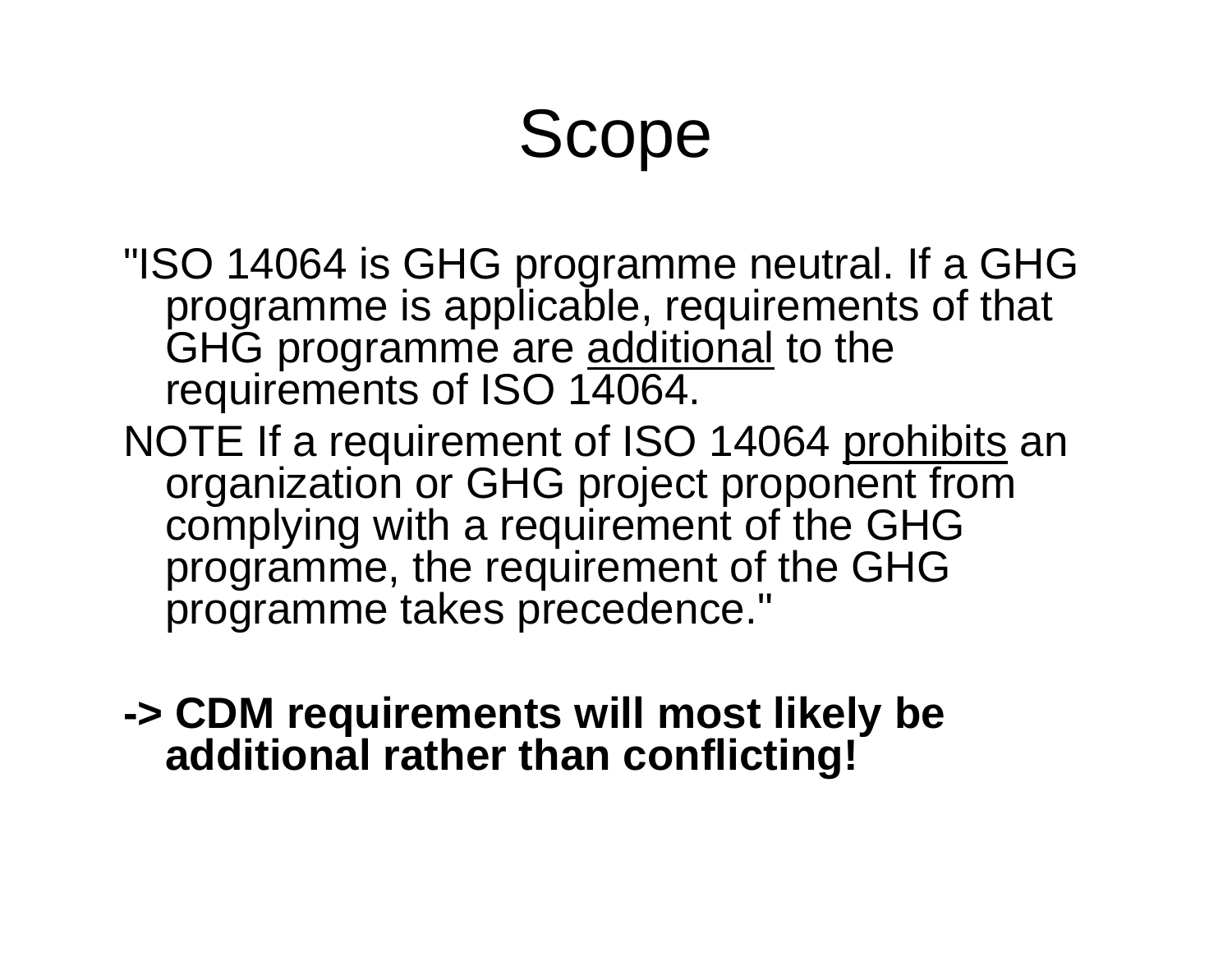### Scope

- "ISO 14064 is GHG programme neutral. If a GHG programme is applicable, requirements of that GHG programme are <u>additional</u> to the requirements of ISO 14064.
- NOTE If a requirement of ISO 14064 prohibits an organization or GHG project proponent from complying with a requirement of the GHG programme, the requirement of the GHG programme takes precedence."
- **-> CDM requirements will most likely be additional rather than conflicting!**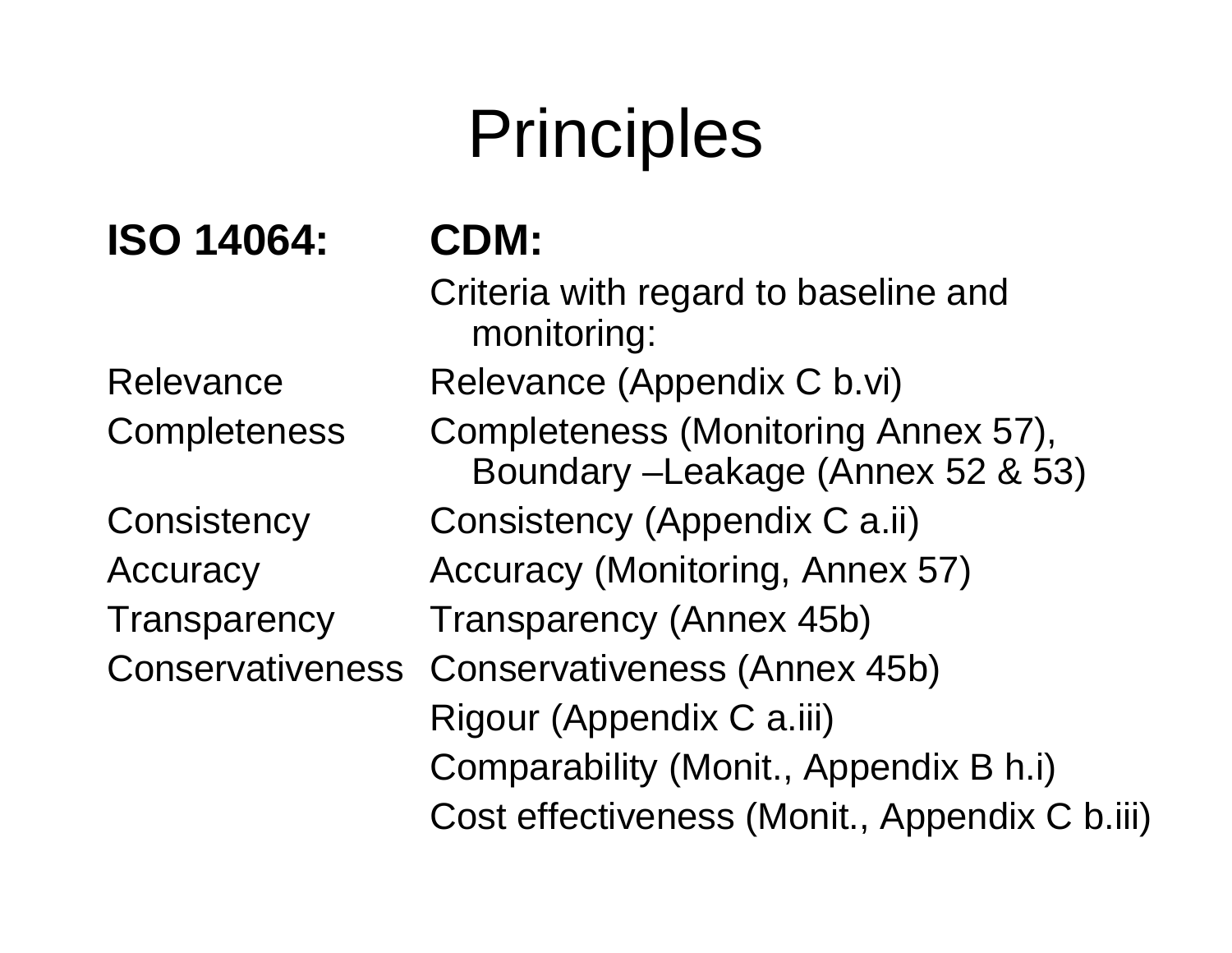# **Principles**

### **ISO 14064:**

Relevance

**Completeness** 

**Consistency** 

**Transparency** 

**Accuracy** 

**CDM:**

**Conservativeness** Criteria with regard to baseline and monitoring: Relevance (Appendix C b.vi) Completeness (Monitoring Annex 57), Boundary –Leakage (Annex 52 & 53) Consistency (Appendix C a.ii) Accuracy (Monitoring, Annex 57) Transparency (Annex 45b) Conservativeness (Annex 45b) Rigour (Appendix C a.iii) Comparability (Monit., Appendix B h.i) Cost effectiveness (Monit., Appendix C b.iii)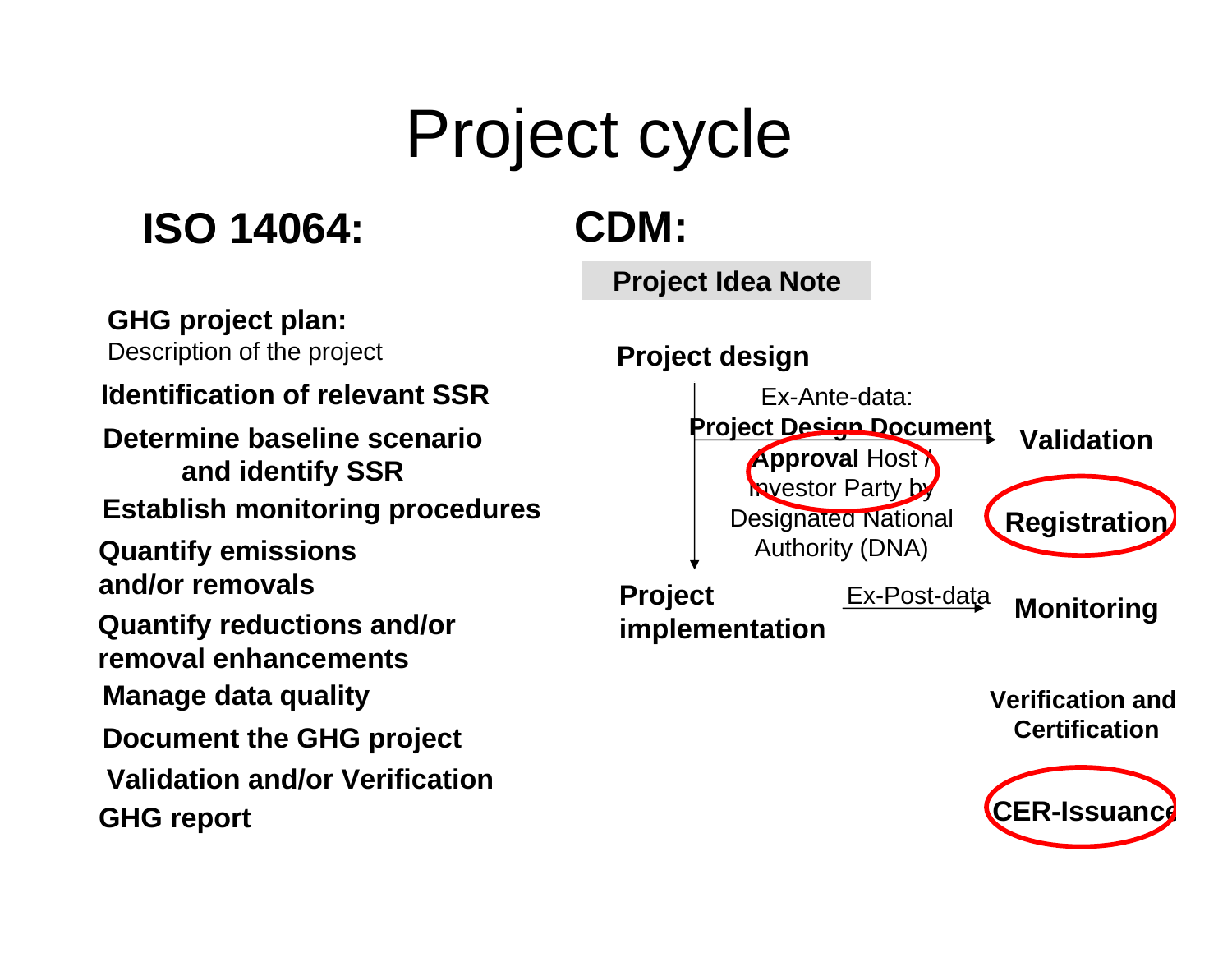# Project cycle

### **ISO 14064: CDM:**

#### **Project Idea Note**

**GHG project plan:**

Description of the project

#### . **Identification of relevant SSR**

**Quantify emissions and/or removals Determine baseline scenarioand identify SSR Establish monitoring procedures Quantify reductions and/or removal enhancementsManage data quality**

**Document the GHG project**

**Validation and/or Verification**

**GHG report**

#### **Project design**



**CER-Issuance**

**Certification**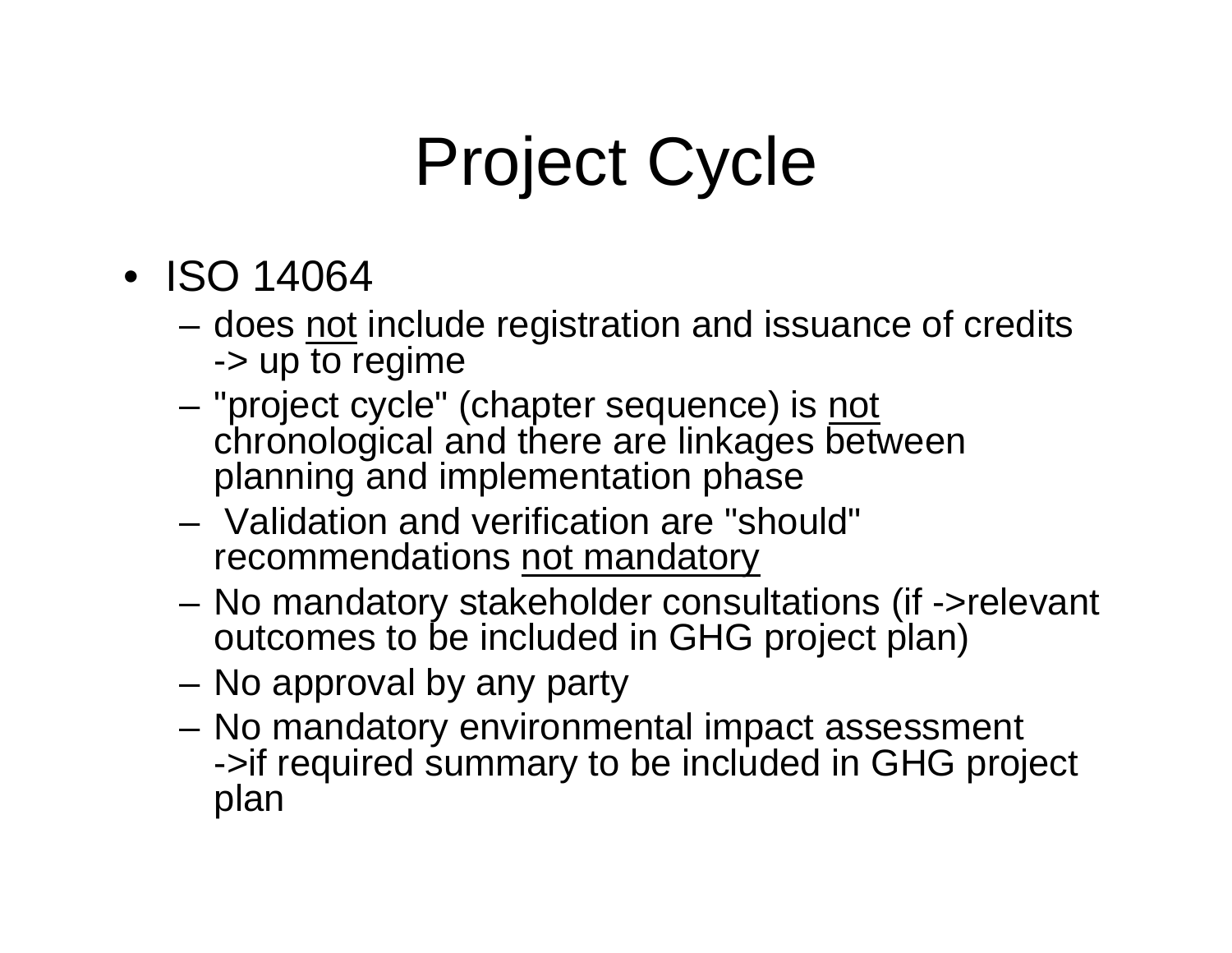# Project Cycle

- ISO 14064
	- –does not include registration and issuance of credits -> up to regime
	- "project cycle" (chapter sequence) is <u>not</u> chronological and there are linkages between planning and implementation phase
	- Validation and verification are "should" recommendations not mandatory
	- No mandatory stakeholder consultations (if ->relevant outcomes to be included in GHG project plan)
	- No approval by any party
	- No mandatory environmental impact assessment ->if required summary to be included in GHG project plan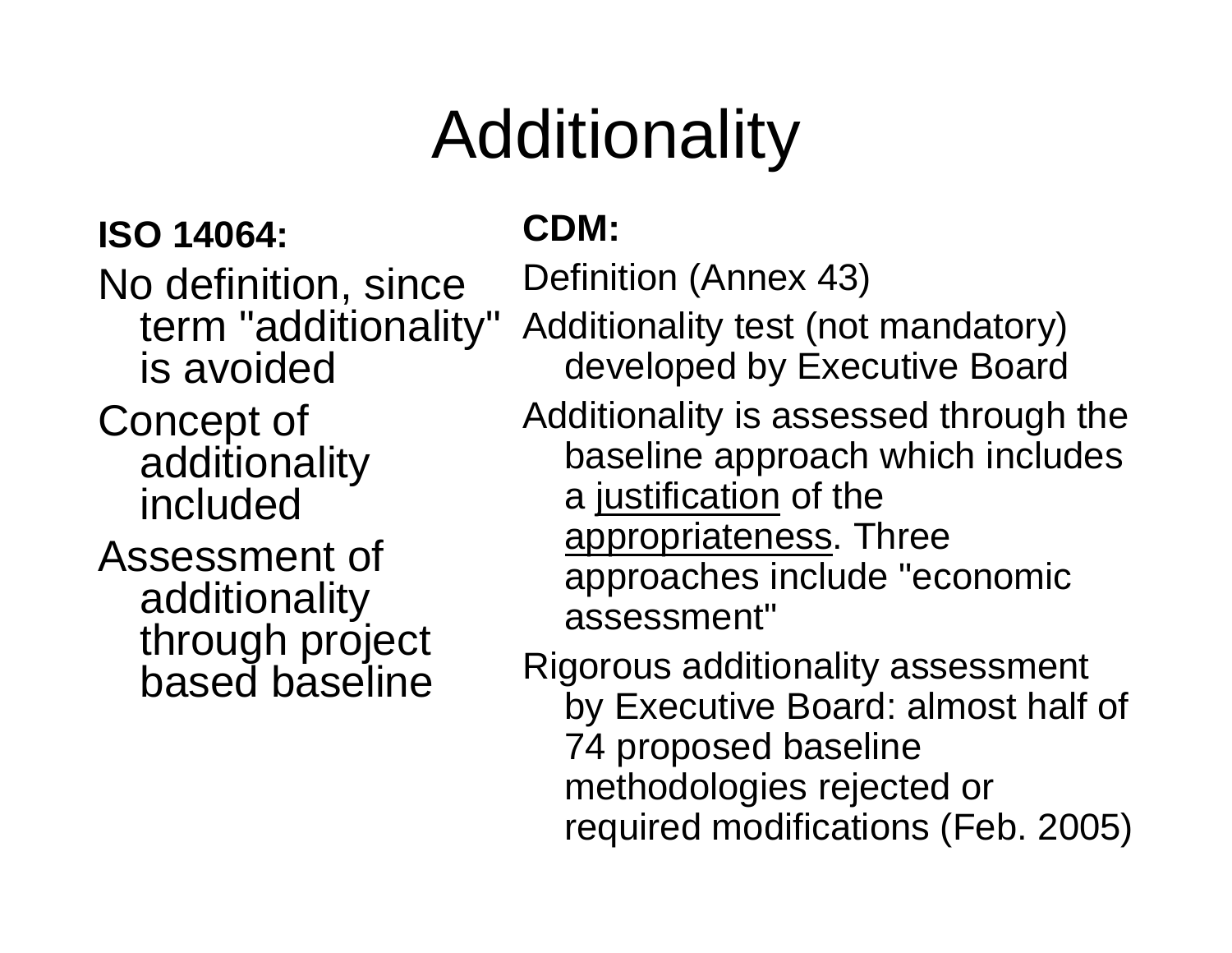# Additionality

### **ISO 14064:**

No definition, since term "additionality" is avoidedConcept of additionality includedAssessment of

additionality through project based baseline

### **CDM:**

Definition (Annex 43)

Additionality test (not mandatory) developed by Executive Board

Additionality is assessed through the baseline approach which includes a justification of the appropriateness. Three approaches include "economic assessment"

Rigorous additionality assessment by Executive Board: almost half of 74 proposed baseline methodologies rejected or required modifications (Feb. 2005)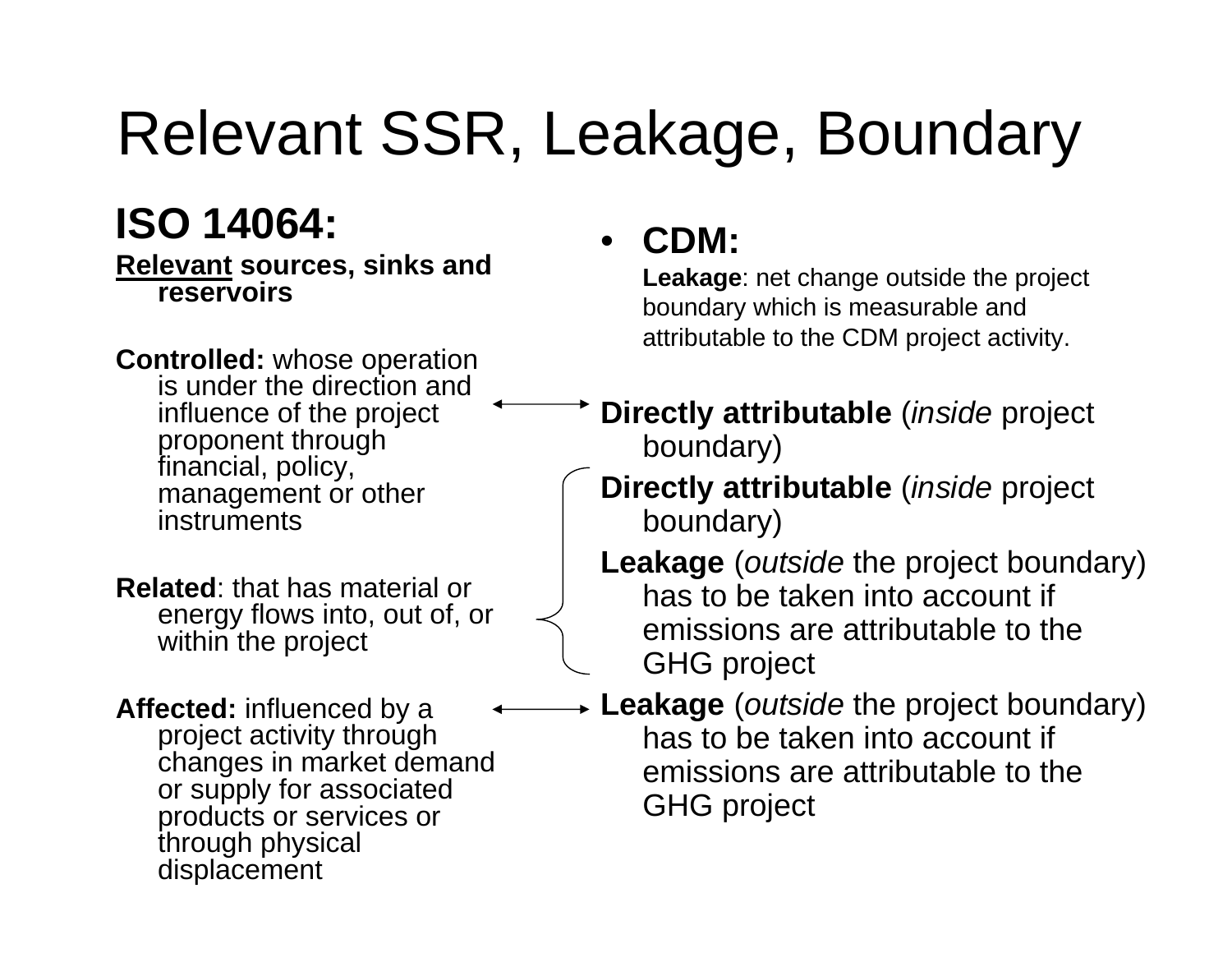### Relevant SSR, Leakage, Boundary

### **ISO 14064:**

**Relevant sources, sinks and reservoirs**

**Controlled:** whose operation is under the direction and influence of the project proponent through financial, policy, management or other instruments

**Related**: that has material or energy flows into, out of, or within the project

**Affected:** influenced by a project activity through changes in market demand or supply for associated products or services or through physical displacement

#### •**CDM:**

**Leakage**: net change outside the project boundary which is measurable and attributable to the CDM project activity.

- **Directly attributable** (*inside* project boundary)
- **Directly attributable** (*inside* project boundary)
- **Leakage** (*outside* the project boundary) has to be taken into account if emissions are attributable to the GHG project
- **Leakage** (*outside* the project boundary) has to be taken into account if emissions are attributable to the GHG project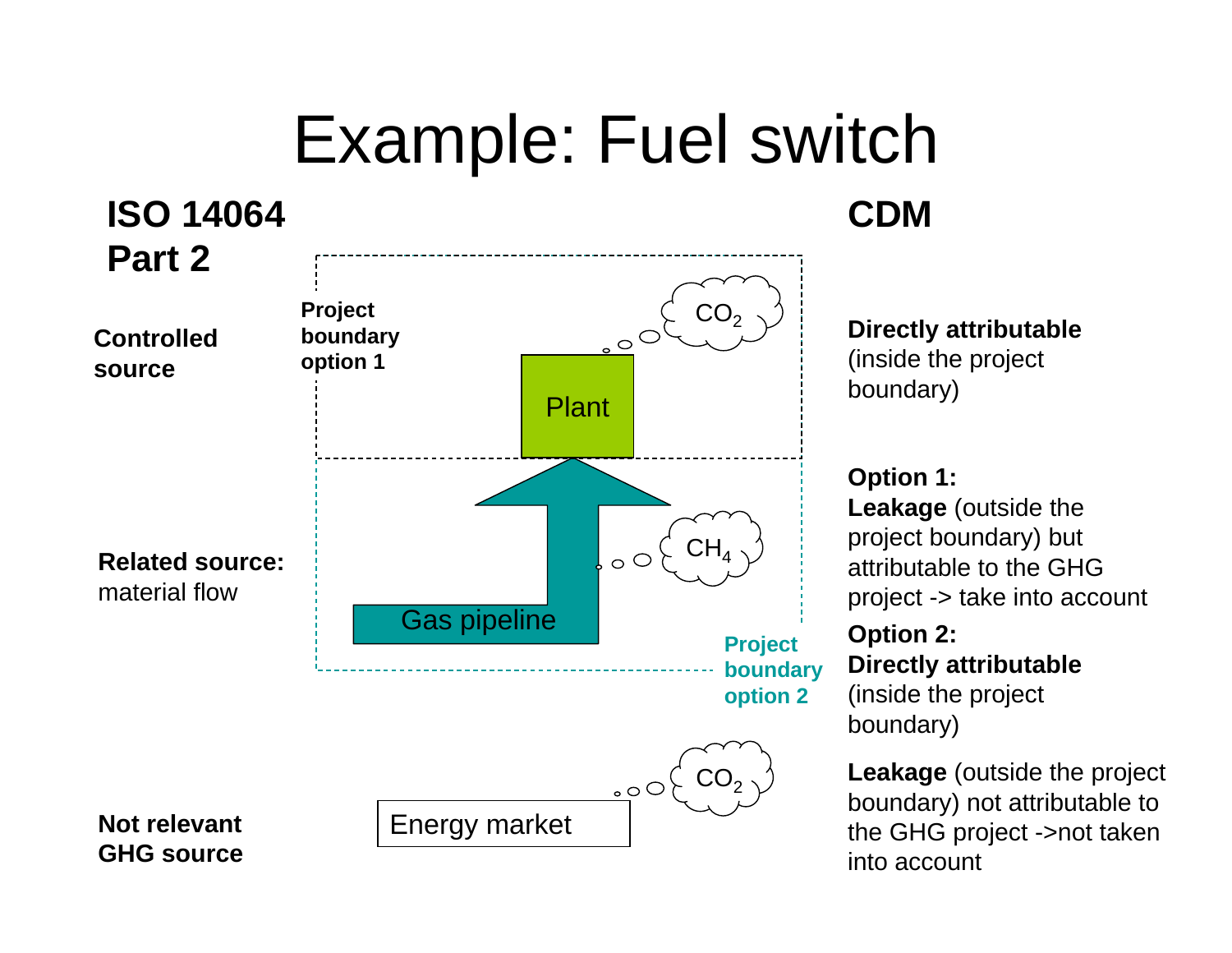### Example: Fuel switch



**Directly attributable**

(inside the project boundary)

**Option 1:** 

**CDM**

**Leakage** (outside the project boundary) but attributable to the GHG project -> take into account

**Option 2: Directly attributable** (inside the project boundary)

**Leakage** (outside the project boundary) not attributable to the GHG project ->not taken into account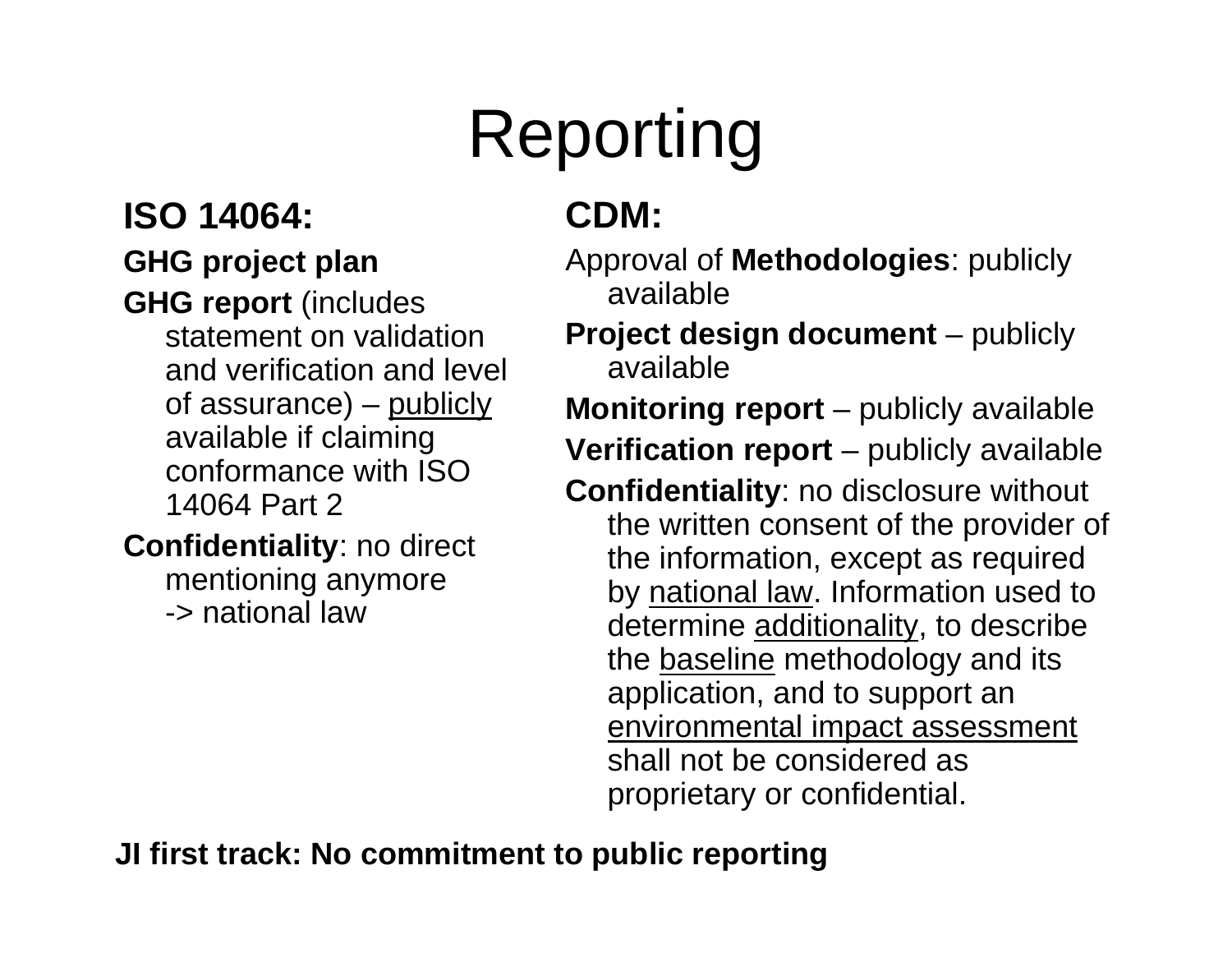# Reporting

### **ISO 14064:**

#### **GHG project plan**

**GHG report** (includes statement on validation and verification and level of assurance) – publicly available if claiming conformance with ISO 14064 Part 2

**Confidentiality**: no direct mentioning anymore -> national law

### **CDM:**

Approval of **Methodologies**: publicly available

**Project design document** – publicly available

**Monitoring report** – publicly available **Verification report** – publicly available

**Confidentiality**: no disclosure without the written consent of the provider of the information, except as required by national law. Information used to determine additionality, to describe the <u>baseline</u> methodology and its application, and to support an environmental impact assessment shall not be considered as proprietary or confidential.

**JI first track: No commitment to public reporting**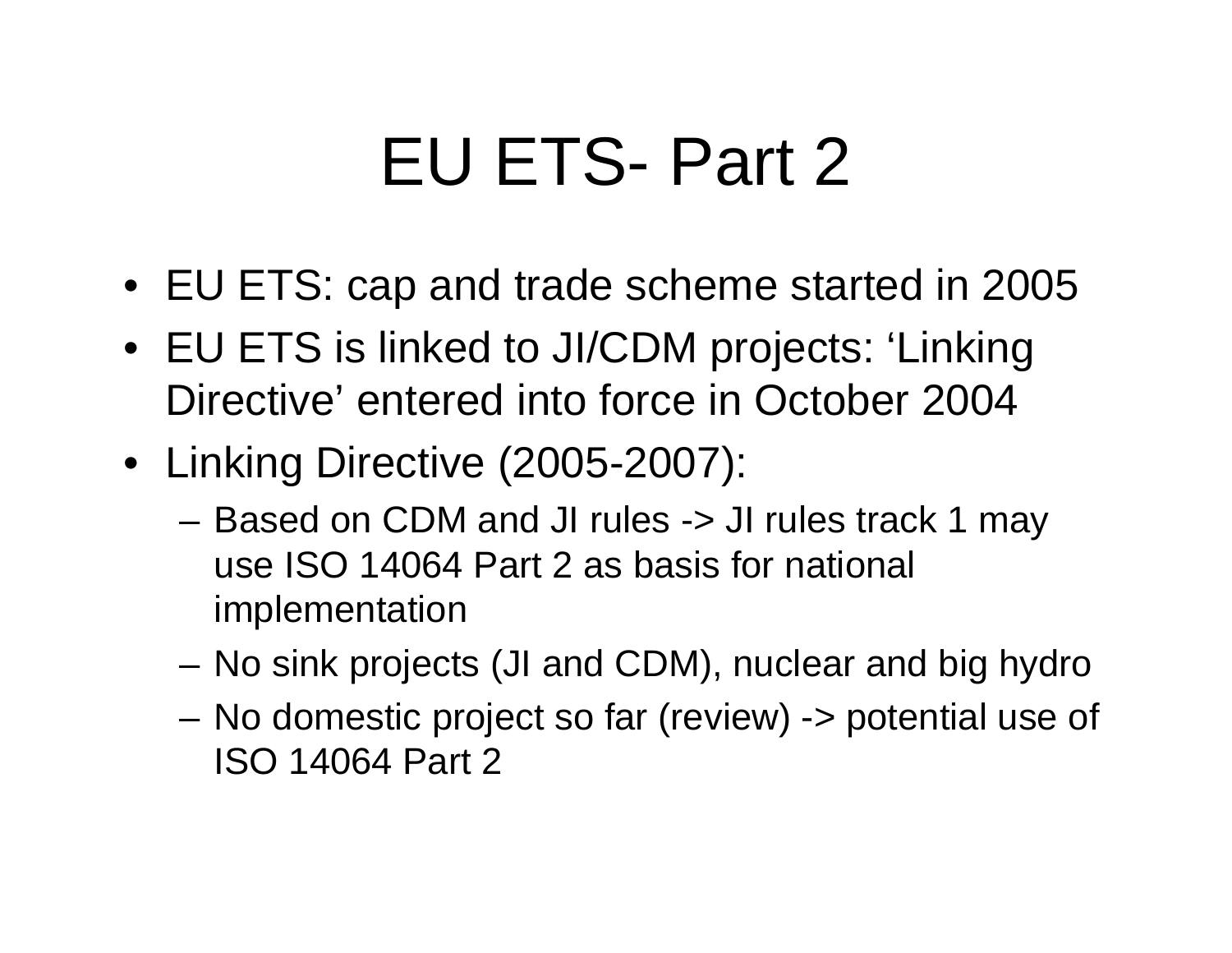### EU ETS- Part 2

- EU ETS: cap and trade scheme started in 2005
- EU ETS is linked to JI/CDM projects: 'Linking Directive' entered into force in October 2004
- Linking Directive (2005-2007):
	- Based on CDM and JI rules -> JI rules track 1 may use ISO 14064 Part 2 as basis for national implementation
	- –No sink projects (JI and CDM), nuclear and big hydro
	- – No domestic project so far (review) -> potential use of ISO 14064 Part 2